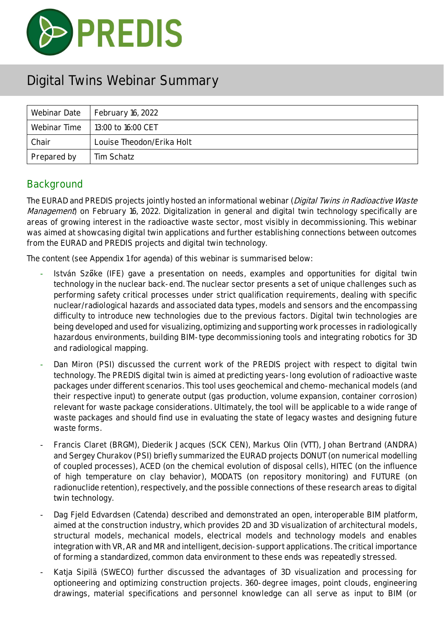

| Webinar Date | February 16, 2022         |
|--------------|---------------------------|
| Webinar Time | 13:00 to 16:00 CET        |
| Chair        | Louise Theodon/Erika Holt |
| Prepared by  | Tim Schatz                |

### **Background**

The EURAD and PREDIS projects jointly hosted an informational webinar (*Digital Twins in Radioactive Waste* Management) on February 16, 2022. Digitalization in general and digital twin technology specifically are areas of growing interest in the radioactive waste sector, most visibly in decommissioning. This webinar was aimed at showcasing digital twin applications and further establishing connections between outcomes from the EURAD and PREDIS projects and digital twin technology.

The content (see Appendix 1 for agenda) of this webinar is summarised below:

- István Szőke (IFE) gave a presentation on needs, examples and opportunities for digital twin technology in the nuclear back-end. The nuclear sector presents a set of unique challenges such as performing safety critical processes under strict qualification requirements, dealing with specific nuclear/radiological hazards and associated data types, models and sensors and the encompassing difficulty to introduce new technologies due to the previous factors. Digital twin technologies are being developed and used for visualizing, optimizing and supporting work processes in radiologically hazardous environments, building BIM-type decommissioning tools and integrating robotics for 3D and radiological mapping.
- Dan Miron (PSI) discussed the current work of the PREDIS project with respect to digital twin technology. The PREDIS digital twin is aimed at predicting years-long evolution of radioactive waste packages under different scenarios. This tool uses geochemical and chemo-mechanical models (and their respective input) to generate output (gas production, volume expansion, container corrosion) relevant for waste package considerations. Ultimately, the tool will be applicable to a wide range of waste packages and should find use in evaluating the state of legacy wastes and designing future waste forms.
- Francis Claret (BRGM), Diederik Jacques (SCK CEN), Markus Olin (VTT), Johan Bertrand (ANDRA) and Sergey Churakov (PSI) briefly summarized the EURAD projects DONUT (on numerical modelling of coupled processes), ACED (on the chemical evolution of disposal cells), HITEC (on the influence of high temperature on clay behavior), MODATS (on repository monitoring) and FUTURE (on radionuclide retention), respectively, and the possible connections of these research areas to digital twin technology.
- Dag Field Edvardsen (Catenda) described and demonstrated an open, interoperable BIM platform, aimed at the construction industry, which provides 2D and 3D visualization of architectural models, structural models, mechanical models, electrical models and technology models and enables integration with VR, AR and MR and intelligent, decision-support applications. The critical importance of forming a standardized, common data environment to these ends was repeatedly stressed.
- Katja Sipilä (SWECO) further discussed the advantages of 3D visualization and processing for optioneering and optimizing construction projects. 360-degree images, point clouds, engineering drawings, material specifications and personnel knowledge can all serve as input to BIM (or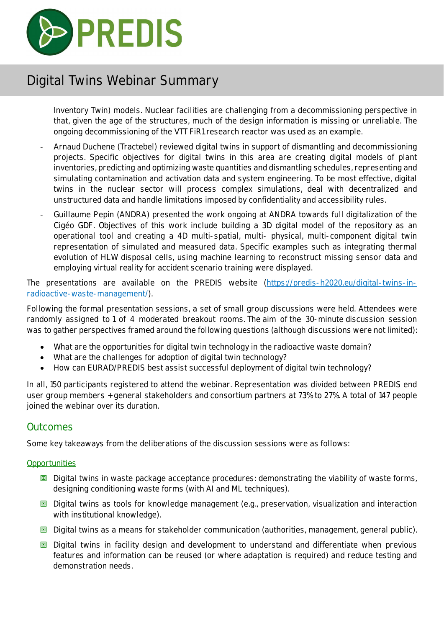

Inventory Twin) models. Nuclear facilities are challenging from a decommissioning perspective in that, given the age of the structures, much of the design information is missing or unreliable. The ongoing decommissioning of the VTT FiR1 research reactor was used as an example.

- Arnaud Duchene (Tractebel) reviewed digital twins in support of dismantling and decommissioning projects. Specific objectives for digital twins in this area are creating digital models of plant inventories, predicting and optimizing waste quantities and dismantling schedules, representing and simulating contamination and activation data and system engineering. To be most effective, digital twins in the nuclear sector will process complex simulations, deal with decentralized and unstructured data and handle limitations imposed by confidentiality and accessibility rules.
- Guillaume Pepin (ANDRA) presented the work ongoing at ANDRA towards full digitalization of the Cigéo GDF. Objectives of this work include building a 3D digital model of the repository as an operational tool and creating a 4D multi-spatial, multi- physical, multi-component digital twin representation of simulated and measured data. Specific examples such as integrating thermal evolution of HLW disposal cells, using machine learning to reconstruct missing sensor data and employing virtual reality for accident scenario training were displayed.

The presentations are available on the PREDIS website (https://predis-h2020.eu/digital-twins-inradioactive-waste-management/).

Following the formal presentation sessions, a set of small group discussions were held. Attendees were randomly assigned to 1 of 4 moderated breakout rooms. The aim of the 30-minute discussion session was to gather perspectives framed around the following questions (although discussions were not limited):

- What are the opportunities for digital twin technology in the radioactive waste domain?
- What are the challenges for adoption of digital twin technology?
- How can EURAD/PREDIS best assist successful deployment of digital twin technology?

In all, 150 participants registered to attend the webinar. Representation was divided between PREDIS end user group members + general stakeholders and consortium partners at 73% to 27%. A total of 147 people joined the webinar over its duration.

#### **Outcomes**

Some key takeaways from the deliberations of the discussion sessions were as follows:

#### **Opportunities**

- $\Box$  Digital twins in waste package acceptance procedures: demonstrating the viability of waste forms, designing conditioning waste forms (with AI and ML techniques).
- $\Box$  Digital twins as tools for knowledge management (e.g., preservation, visualization and interaction with institutional knowledge).
- **回** Digital twins as a means for stakeholder communication (authorities, management, general public).
- **回** Digital twins in facility design and development to understand and differentiate when previous features and information can be reused (or where adaptation is required) and reduce testing and demonstration needs.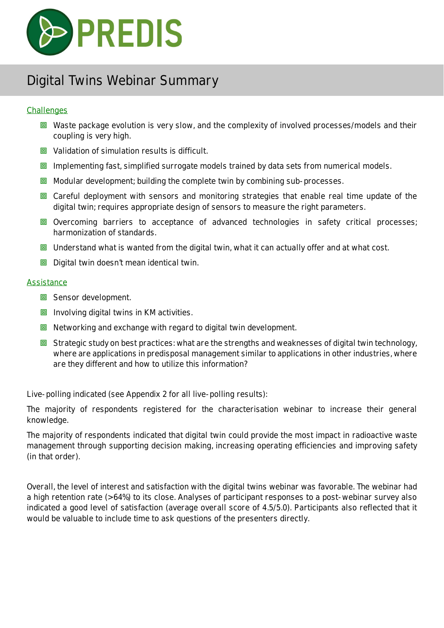

#### **Challenges**

- $\Box$  Waste package evolution is very slow, and the complexity of involved processes/models and their coupling is very high.
- **同** Validation of simulation results is difficult.
- $\Box$  Implementing fast, simplified surrogate models trained by data sets from numerical models.
- $\Box$  Modular development; building the complete twin by combining sub-processes.
- **回** Careful deployment with sensors and monitoring strategies that enable real time update of the digital twin; requires appropriate design of sensors to measure the right parameters.
- **回** Overcoming barriers to acceptance of advanced technologies in safety critical processes; harmonization of standards.
- $\Box$  Understand what is wanted from the digital twin, what it can actually offer and at what cost.
- $\Box$  Digital twin doesn't mean identical twin.

#### **Assistance**

- **回** Sensor development.
- $\Box$  Involving digital twins in KM activities.
- $\Box$  Networking and exchange with regard to digital twin development.
- $\Box$  Strategic study on best practices: what are the strengths and weaknesses of digital twin technology, where are applications in predisposal management similar to applications in other industries, where are they different and how to utilize this information?

Live-polling indicated (see Appendix 2 for all live-polling results):

The majority of respondents registered for the characterisation webinar to increase their general knowledge.

The majority of respondents indicated that digital twin could provide the most impact in radioactive waste management through supporting decision making, increasing operating efficiencies and improving safety (in that order).

Overall, the level of interest and satisfaction with the digital twins webinar was favorable. The webinar had a high retention rate (> 64%) to its close. Analyses of participant responses to a post-webinar survey also indicated a good level of satisfaction (average overall score of 4.5/5.0). Participants also reflected that it would be valuable to include time to ask questions of the presenters directly.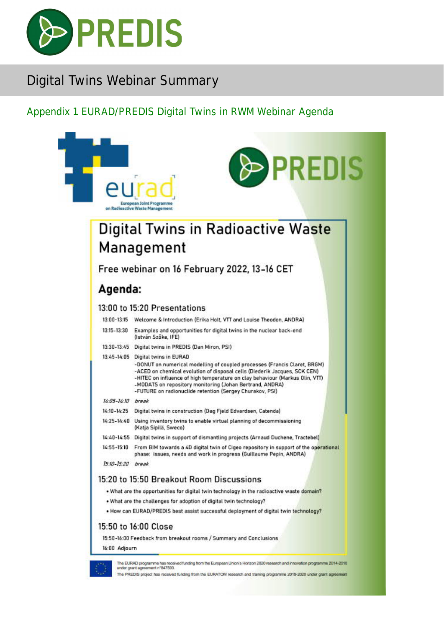

### Appendix 1. EURAD/PREDIS Digital Twins in RWM Webinar Agenda

|                   | <b>&gt; PREDIS</b><br><b>European Joint Programme</b><br>on Radioactive Waste Management                                                                                                                                                                                                                                                                                                             |
|-------------------|------------------------------------------------------------------------------------------------------------------------------------------------------------------------------------------------------------------------------------------------------------------------------------------------------------------------------------------------------------------------------------------------------|
|                   | Digital Twins in Radioactive Waste                                                                                                                                                                                                                                                                                                                                                                   |
|                   | Management                                                                                                                                                                                                                                                                                                                                                                                           |
|                   | Free webinar on 16 February 2022, 13-16 CET                                                                                                                                                                                                                                                                                                                                                          |
| Agenda:           |                                                                                                                                                                                                                                                                                                                                                                                                      |
|                   | 13:00 to 15:20 Presentations                                                                                                                                                                                                                                                                                                                                                                         |
| 13:00-13:15       | Welcome & Introduction (Erika Holt, VTT and Louise Theodon, ANDRA)                                                                                                                                                                                                                                                                                                                                   |
| 13:15-13:30       | Examples and opportunities for digital twins in the nuclear back-end<br>(István Szöke, IFE)                                                                                                                                                                                                                                                                                                          |
|                   | 13:30-13:45 Digital twins in PREDIS (Dan Miron, PSI)                                                                                                                                                                                                                                                                                                                                                 |
|                   | 13:45-14:05 Digital twins in EURAD<br>-DONUT on numerical modelling of coupled processes (Francis Claret, BRGM)<br>-ACED on chemical evolution of disposal cells (Diederik Jacques, SCK CEN)<br>-HITEC on influence of high temperature on clay behaviour (Markus Olin, VTT)<br>-MODATS on repository monitoring (Johan Bertrand, ANDRA)<br>-FUTURE on radionuclide retention (Sergey Churakov, PSI) |
| 14:05-14:10 break |                                                                                                                                                                                                                                                                                                                                                                                                      |
| 14:10-14:25       | Digital twins in construction (Dag Fjeld Edvardsen, Catenda)                                                                                                                                                                                                                                                                                                                                         |
|                   | 14:25-14:40 Using inventory twins to enable virtual planning of decommissioning<br>(Katja Sipilä, Sweco)                                                                                                                                                                                                                                                                                             |
| 14:40-14:55       | Digital twins in support of dismantling projects (Arnaud Duchene, Tractebel)                                                                                                                                                                                                                                                                                                                         |
| 14:55-15:10       | From BIM towards a 4D digital twin of Cigeo repository in support of the operational<br>phase: issues, needs and work in progress (Guillaume Pepin, ANDRA)                                                                                                                                                                                                                                           |
| 15:10-15:20       | break                                                                                                                                                                                                                                                                                                                                                                                                |
|                   | 15:20 to 15:50 Breakout Room Discussions                                                                                                                                                                                                                                                                                                                                                             |
|                   | . What are the opportunities for digital twin technology in the radioactive waste domain?                                                                                                                                                                                                                                                                                                            |
|                   | . What are the challenges for adoption of digital twin technology?                                                                                                                                                                                                                                                                                                                                   |
|                   | . How can EURAD/PREDIS best assist successful deployment of digital twin technology?                                                                                                                                                                                                                                                                                                                 |
|                   | 15:50 to 16:00 Close                                                                                                                                                                                                                                                                                                                                                                                 |
|                   | 15:50-16:00 Feedback from breakout rooms / Summary and Conclusions                                                                                                                                                                                                                                                                                                                                   |
| 16:00 Adjourn     |                                                                                                                                                                                                                                                                                                                                                                                                      |